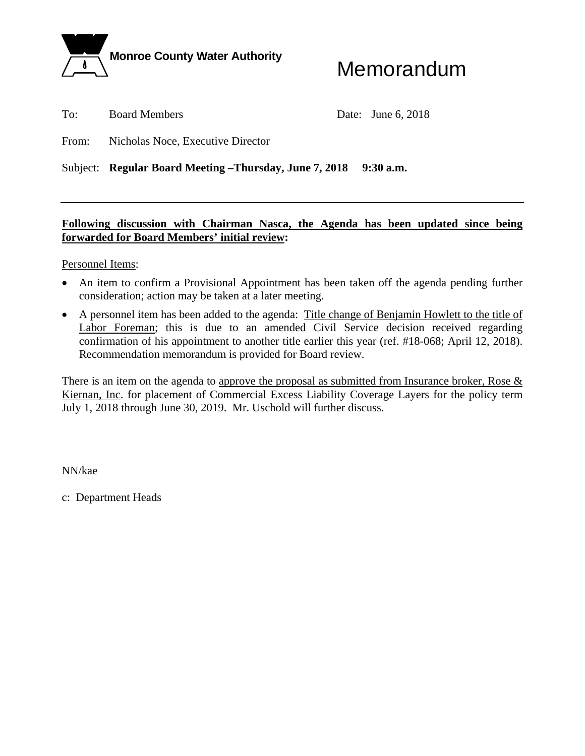

# Memorandum

To: Board Members Date: June 6, 2018

From: Nicholas Noce, Executive Director

Subject: **Regular Board Meeting –Thursday, June 7, 2018** 9:30 a.m.

### **Following discussion with Chairman Nasca, the Agenda has been updated since being forwarded for Board Members' initial review:**

Personnel Items:

- An item to confirm a Provisional Appointment has been taken off the agenda pending further consideration; action may be taken at a later meeting.
- A personnel item has been added to the agenda: Title change of Benjamin Howlett to the title of Labor Foreman; this is due to an amended Civil Service decision received regarding confirmation of his appointment to another title earlier this year (ref. #18-068; April 12, 2018). Recommendation memorandum is provided for Board review.

There is an item on the agenda to approve the proposal as submitted from Insurance broker, Rose  $\&$ Kiernan, Inc. for placement of Commercial Excess Liability Coverage Layers for the policy term July 1, 2018 through June 30, 2019. Mr. Uschold will further discuss.

NN/kae

c: Department Heads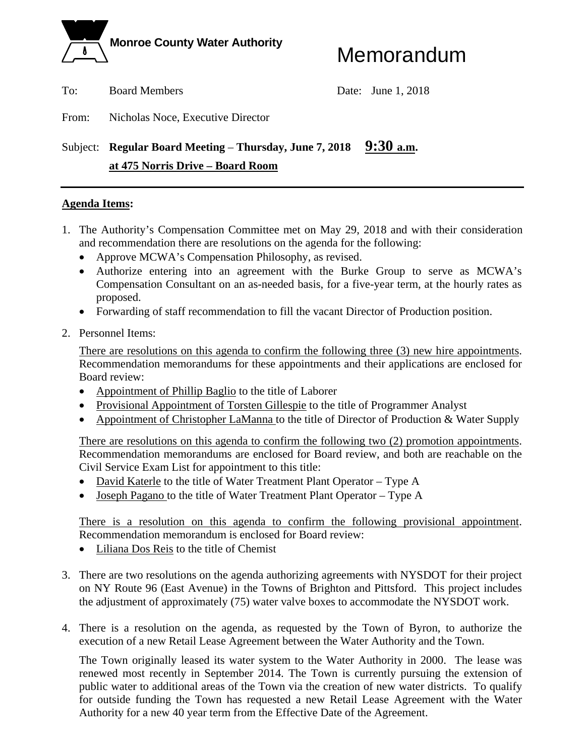

To: Board Members Date: June 1, 2018

From: Nicholas Noce, Executive Director

### Subject: **Regular Board Meeting – Thursday, June 7, 2018** 9:30 a.m.  **at 475 Norris Drive – Board Room**

#### **Agenda Items:**

- 1. The Authority's Compensation Committee met on May 29, 2018 and with their consideration and recommendation there are resolutions on the agenda for the following:
	- Approve MCWA's Compensation Philosophy, as revised.
	- Authorize entering into an agreement with the Burke Group to serve as MCWA's Compensation Consultant on an as-needed basis, for a five-year term, at the hourly rates as proposed.
	- Forwarding of staff recommendation to fill the vacant Director of Production position.
- 2. Personnel Items:

There are resolutions on this agenda to confirm the following three (3) new hire appointments. Recommendation memorandums for these appointments and their applications are enclosed for Board review:

- Appointment of Phillip Baglio to the title of Laborer
- Provisional Appointment of Torsten Gillespie to the title of Programmer Analyst
- Appointment of Christopher LaManna to the title of Director of Production & Water Supply

There are resolutions on this agenda to confirm the following two (2) promotion appointments. Recommendation memorandums are enclosed for Board review, and both are reachable on the Civil Service Exam List for appointment to this title:

- David Katerle to the title of Water Treatment Plant Operator Type A
- Joseph Pagano to the title of Water Treatment Plant Operator Type A

There is a resolution on this agenda to confirm the following provisional appointment. Recommendation memorandum is enclosed for Board review:

- Liliana Dos Reis to the title of Chemist
- 3. There are two resolutions on the agenda authorizing agreements with NYSDOT for their project on NY Route 96 (East Avenue) in the Towns of Brighton and Pittsford. This project includes the adjustment of approximately (75) water valve boxes to accommodate the NYSDOT work.
- 4. There is a resolution on the agenda, as requested by the Town of Byron, to authorize the execution of a new Retail Lease Agreement between the Water Authority and the Town.

The Town originally leased its water system to the Water Authority in 2000. The lease was renewed most recently in September 2014. The Town is currently pursuing the extension of public water to additional areas of the Town via the creation of new water districts. To qualify for outside funding the Town has requested a new Retail Lease Agreement with the Water Authority for a new 40 year term from the Effective Date of the Agreement.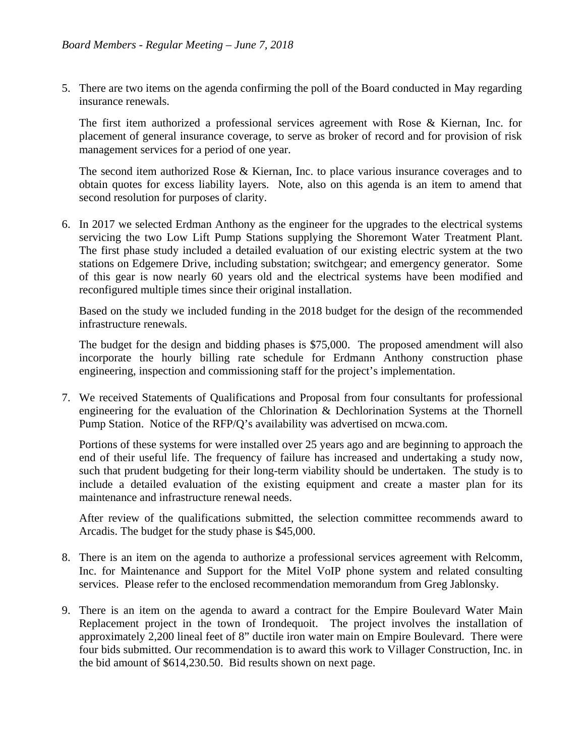5. There are two items on the agenda confirming the poll of the Board conducted in May regarding insurance renewals.

The first item authorized a professional services agreement with Rose & Kiernan, Inc. for placement of general insurance coverage, to serve as broker of record and for provision of risk management services for a period of one year.

The second item authorized Rose & Kiernan, Inc. to place various insurance coverages and to obtain quotes for excess liability layers. Note, also on this agenda is an item to amend that second resolution for purposes of clarity.

6. In 2017 we selected Erdman Anthony as the engineer for the upgrades to the electrical systems servicing the two Low Lift Pump Stations supplying the Shoremont Water Treatment Plant. The first phase study included a detailed evaluation of our existing electric system at the two stations on Edgemere Drive, including substation; switchgear; and emergency generator. Some of this gear is now nearly 60 years old and the electrical systems have been modified and reconfigured multiple times since their original installation.

Based on the study we included funding in the 2018 budget for the design of the recommended infrastructure renewals.

The budget for the design and bidding phases is \$75,000. The proposed amendment will also incorporate the hourly billing rate schedule for Erdmann Anthony construction phase engineering, inspection and commissioning staff for the project's implementation.

7. We received Statements of Qualifications and Proposal from four consultants for professional engineering for the evaluation of the Chlorination & Dechlorination Systems at the Thornell Pump Station. Notice of the RFP/Q's availability was advertised on mcwa.com.

Portions of these systems for were installed over 25 years ago and are beginning to approach the end of their useful life. The frequency of failure has increased and undertaking a study now, such that prudent budgeting for their long-term viability should be undertaken. The study is to include a detailed evaluation of the existing equipment and create a master plan for its maintenance and infrastructure renewal needs.

After review of the qualifications submitted, the selection committee recommends award to Arcadis. The budget for the study phase is \$45,000.

- 8. There is an item on the agenda to authorize a professional services agreement with Relcomm, Inc. for Maintenance and Support for the Mitel VoIP phone system and related consulting services. Please refer to the enclosed recommendation memorandum from Greg Jablonsky.
- 9. There is an item on the agenda to award a contract for the Empire Boulevard Water Main Replacement project in the town of Irondequoit. The project involves the installation of approximately 2,200 lineal feet of 8" ductile iron water main on Empire Boulevard. There were four bids submitted. Our recommendation is to award this work to Villager Construction, Inc. in the bid amount of \$614,230.50. Bid results shown on next page.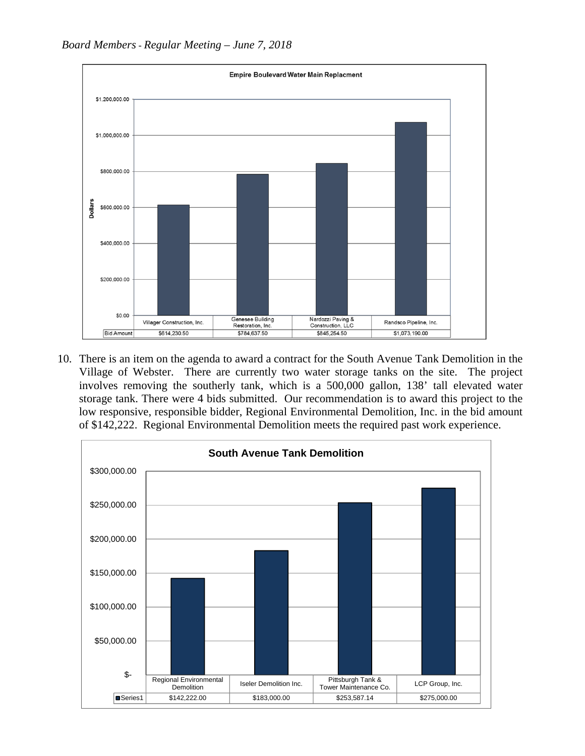

10. There is an item on the agenda to award a contract for the South Avenue Tank Demolition in the Village of Webster. There are currently two water storage tanks on the site. The project involves removing the southerly tank, which is a 500,000 gallon, 138' tall elevated water storage tank. There were 4 bids submitted. Our recommendation is to award this project to the low responsive, responsible bidder, Regional Environmental Demolition, Inc. in the bid amount of \$142,222. Regional Environmental Demolition meets the required past work experience.

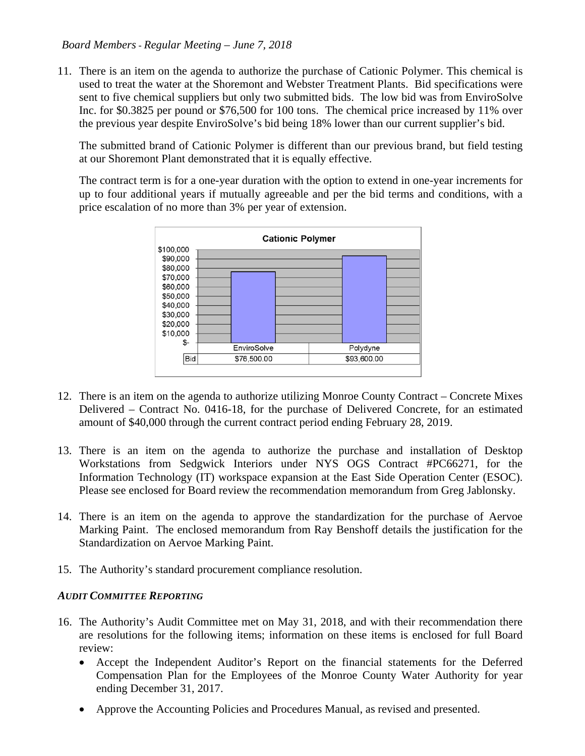11. There is an item on the agenda to authorize the purchase of Cationic Polymer. This chemical is used to treat the water at the Shoremont and Webster Treatment Plants. Bid specifications were sent to five chemical suppliers but only two submitted bids. The low bid was from EnviroSolve Inc. for \$0.3825 per pound or \$76,500 for 100 tons. The chemical price increased by 11% over the previous year despite EnviroSolve's bid being 18% lower than our current supplier's bid.

The submitted brand of Cationic Polymer is different than our previous brand, but field testing at our Shoremont Plant demonstrated that it is equally effective.

The contract term is for a one-year duration with the option to extend in one-year increments for up to four additional years if mutually agreeable and per the bid terms and conditions, with a price escalation of no more than 3% per year of extension.



- 12. There is an item on the agenda to authorize utilizing Monroe County Contract Concrete Mixes Delivered – Contract No. 0416-18, for the purchase of Delivered Concrete, for an estimated amount of \$40,000 through the current contract period ending February 28, 2019.
- 13. There is an item on the agenda to authorize the purchase and installation of Desktop Workstations from Sedgwick Interiors under NYS OGS Contract #PC66271, for the Information Technology (IT) workspace expansion at the East Side Operation Center (ESOC). Please see enclosed for Board review the recommendation memorandum from Greg Jablonsky.
- 14. There is an item on the agenda to approve the standardization for the purchase of Aervoe Marking Paint. The enclosed memorandum from Ray Benshoff details the justification for the Standardization on Aervoe Marking Paint.
- 15. The Authority's standard procurement compliance resolution.

#### *AUDIT COMMITTEE REPORTING*

- 16. The Authority's Audit Committee met on May 31, 2018, and with their recommendation there are resolutions for the following items; information on these items is enclosed for full Board review:
	- Accept the Independent Auditor's Report on the financial statements for the Deferred Compensation Plan for the Employees of the Monroe County Water Authority for year ending December 31, 2017.
	- Approve the Accounting Policies and Procedures Manual, as revised and presented.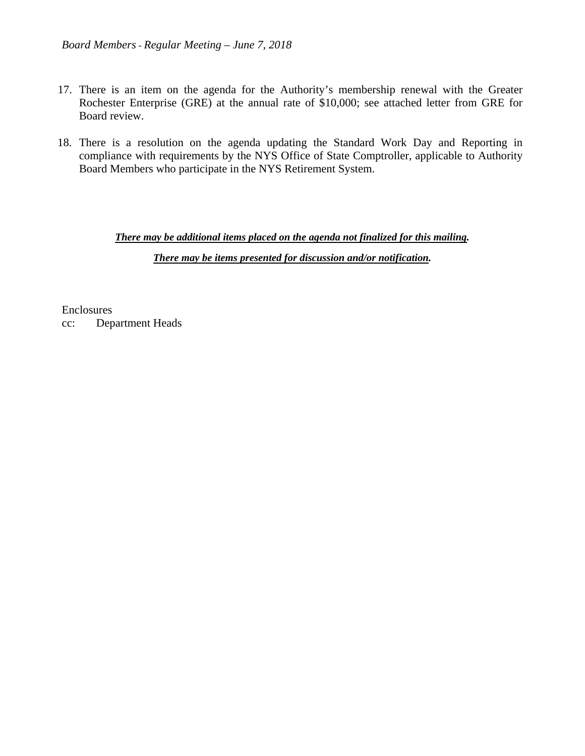- 17. There is an item on the agenda for the Authority's membership renewal with the Greater Rochester Enterprise (GRE) at the annual rate of \$10,000; see attached letter from GRE for Board review.
- 18. There is a resolution on the agenda updating the Standard Work Day and Reporting in compliance with requirements by the NYS Office of State Comptroller, applicable to Authority Board Members who participate in the NYS Retirement System.

*There may be additional items placed on the agenda not finalized for this mailing.* 

*There may be items presented for discussion and/or notification.* 

Enclosures cc: Department Heads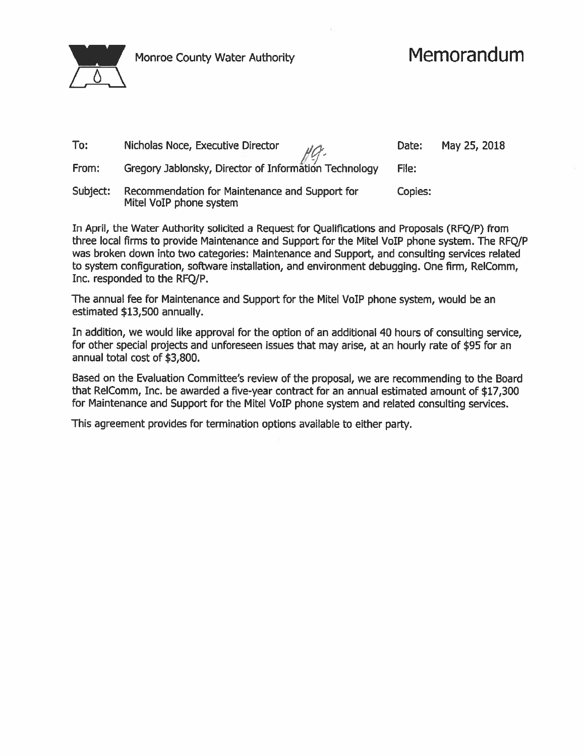

Monroe County Water Authority

## Memorandum

| To:      | Nicholas Noce, Executive Director                                                          | Date:   | May 25, 2018 |
|----------|--------------------------------------------------------------------------------------------|---------|--------------|
| From:    | Nicholas Noce, Executive Director<br>Gregory Jablonsky, Director of Information Technology | File:   |              |
| Subject: | Recommendation for Maintenance and Support for<br>Mitel VoIP phone system                  | Copies: |              |

In April, the Water Authority solicited a Request for Qualifications and Proposals (RFQ/P) from three local firms to provide Maintenance and Support for the Mitel VoIP phone system. The RFQ/P was broken down into two categories: Maintenance and Support, and consulting services related to system configuration, software installation, and environment debugging. One firm, RelComm, Inc. responded to the RFQ/P.

The annual fee for Maintenance and Support for the Mitel VoIP phone system, would be an estimated \$13,500 annually.

In addition, we would like approval for the option of an additional 40 hours of consulting service, for other special projects and unforeseen issues that may arise, at an hourly rate of \$95 for an annual total cost of \$3,800.

Based on the Evaluation Committee's review of the proposal, we are recommending to the Board that RelComm, Inc. be awarded a five-year contract for an annual estimated amount of \$17,300 for Maintenance and Support for the Mitel VoIP phone system and related consulting services.

This agreement provides for termination options available to either party.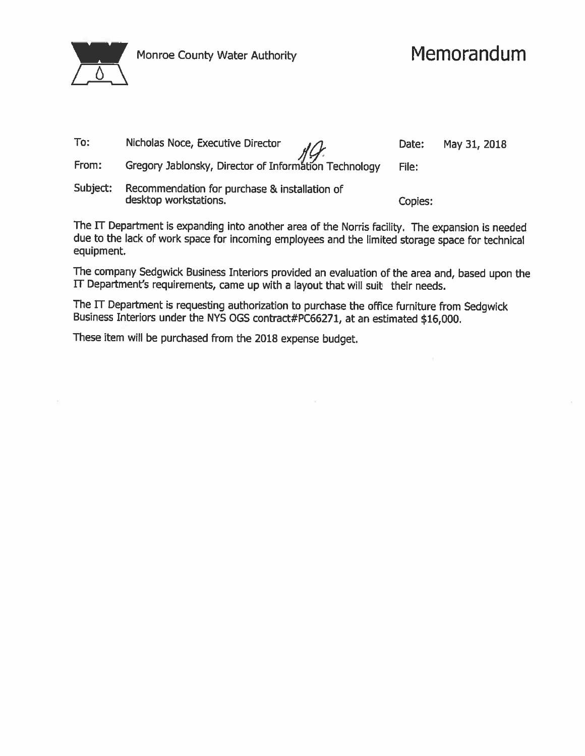

## Memorandum

| To:      | Nicholas Noce, Executive Director<br>Nicholas Noce, Executive Director<br>Gregory Jablonsky, Director of Information Technology | Date:   | May 31, 2018 |
|----------|---------------------------------------------------------------------------------------------------------------------------------|---------|--------------|
| From:    |                                                                                                                                 | File:   |              |
| Subject: | Recommendation for purchase & installation of<br>desktop workstations.                                                          | Copies: |              |

The IT Department is expanding into another area of the Norris facility. The expansion is needed due to the lack of work space for incoming employees and the limited storage space for technical equipment.

The company Sedgwick Business Interiors provided an evaluation of the area and, based upon the IT Department's requirements, came up with a layout that will suit their needs.

The IT Department is requesting authorization to purchase the office furniture from Sedgwick Business Interiors under the NYS OGS contract#PC66271, at an estimated \$16,000.

These item will be purchased from the 2018 expense budget.